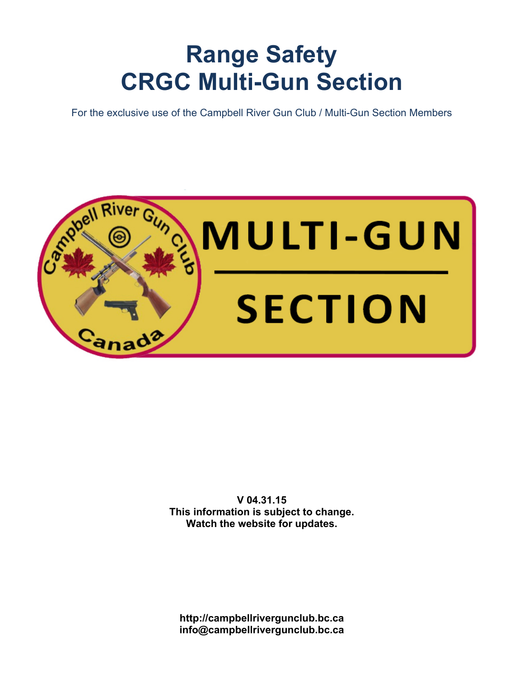# **Range Safety CRGC Multi-Gun Section**

For the exclusive use of the Campbell River Gun Club / Multi-Gun Section Members



**V 04.31.15 This information is subject to change. Watch the website for updates.**

**http://campbellrivergunclub.bc.ca info@campbellrivergunclub.bc.ca**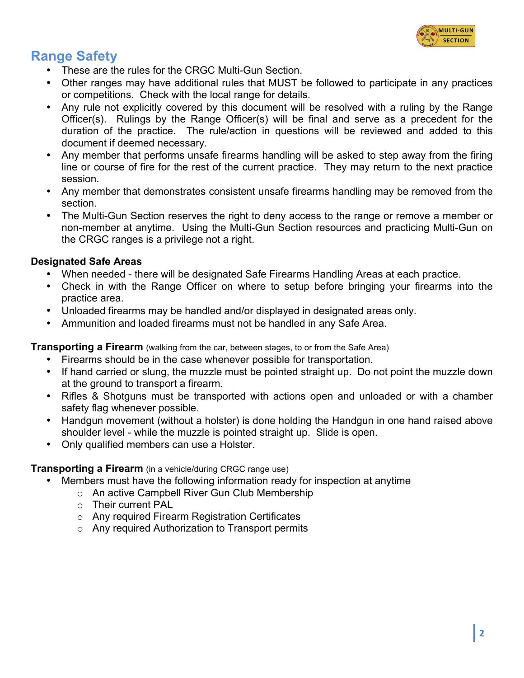

# **Range Safety**

- These are the rules for the CRGC Multi-Gun Section.
- Other ranges may have additional rules that MUST be followed to participate in any practices or competitions. Check with the local range for details.
- Any rule not explicitly covered by this document will be resolved with a ruling by the Range Officer(s). Rulings by the Range Officer(s) will be final and serve as a precedent for the duration of the practice. The rule/action in questions will be reviewed and added to this document if deemed necessary.
- Any member that performs unsafe firearms handling will be asked to step away from the firing line or course of fire for the rest of the current practice. They may return to the next practice session.
- Any member that demonstrates consistent unsafe firearms handling may be removed from the section.
- The Multi-Gun Section reserves the right to deny access to the range or remove a member or non-member at anytime. Using the Multi-Gun Section resources and practicing Multi-Gun on the CRGC ranges is a privilege not a right.

#### **Designated Safe Areas**

- When needed there will be designated Safe Firearms Handling Areas at each practice.
- Check in with the Range Officer on where to setup before bringing your firearms into the practice area.
- Unloaded firearms may be handled and/or displayed in designated areas only.
- Ammunition and loaded firearms must not be handled in any Safe Area.

**Transporting a Firearm** (walking from the car, between stages, to or from the Safe Area)

- Firearms should be in the case whenever possible for transportation.
- If hand carried or slung, the muzzle must be pointed straight up. Do not point the muzzle down at the ground to transport a firearm.
- Rifles & Shotguns must be transported with actions open and unloaded or with a chamber safety flag whenever possible.
- Handgun movement (without a holster) is done holding the Handgun in one hand raised above shoulder level - while the muzzle is pointed straight up. Slide is open.
- Only qualified members can use a Holster.

#### **Transporting a Firearm** (in a vehicle/during CRGC range use)

- Members must have the following information ready for inspection at anytime
	- o An active Campbell River Gun Club Membership
	- o Their current PAL
	- o Any required Firearm Registration Certificates
	- o Any required Authorization to Transport permits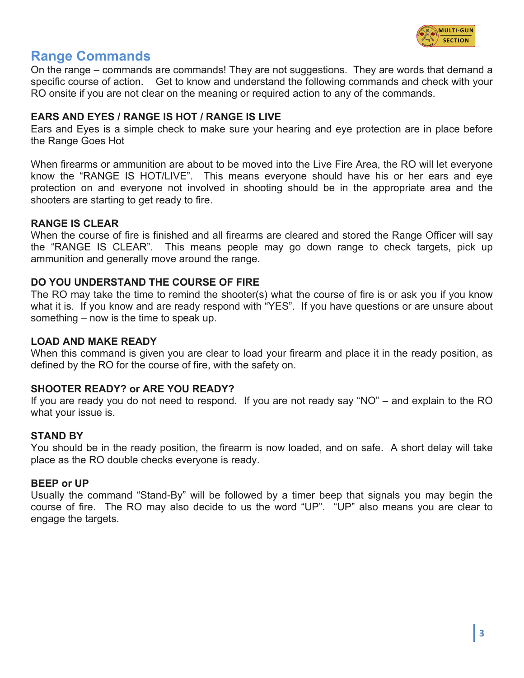

## **Range Commands**

On the range – commands are commands! They are not suggestions. They are words that demand a specific course of action. Get to know and understand the following commands and check with your RO onsite if you are not clear on the meaning or required action to any of the commands.

#### **EARS AND EYES / RANGE IS HOT / RANGE IS LIVE**

Ears and Eyes is a simple check to make sure your hearing and eye protection are in place before the Range Goes Hot

When firearms or ammunition are about to be moved into the Live Fire Area, the RO will let everyone know the "RANGE IS HOT/LIVE". This means everyone should have his or her ears and eye protection on and everyone not involved in shooting should be in the appropriate area and the shooters are starting to get ready to fire.

#### **RANGE IS CLEAR**

When the course of fire is finished and all firearms are cleared and stored the Range Officer will say the "RANGE IS CLEAR". This means people may go down range to check targets, pick up ammunition and generally move around the range.

#### **DO YOU UNDERSTAND THE COURSE OF FIRE**

The RO may take the time to remind the shooter(s) what the course of fire is or ask you if you know what it is. If you know and are ready respond with "YES". If you have questions or are unsure about something – now is the time to speak up.

#### **LOAD AND MAKE READY**

When this command is given you are clear to load your firearm and place it in the ready position, as defined by the RO for the course of fire, with the safety on.

#### **SHOOTER READY? or ARE YOU READY?**

If you are ready you do not need to respond. If you are not ready say "NO" – and explain to the RO what your issue is.

#### **STAND BY**

You should be in the ready position, the firearm is now loaded, and on safe. A short delay will take place as the RO double checks everyone is ready.

#### **BEEP or UP**

Usually the command "Stand-By" will be followed by a timer beep that signals you may begin the course of fire. The RO may also decide to us the word "UP". "UP" also means you are clear to engage the targets.